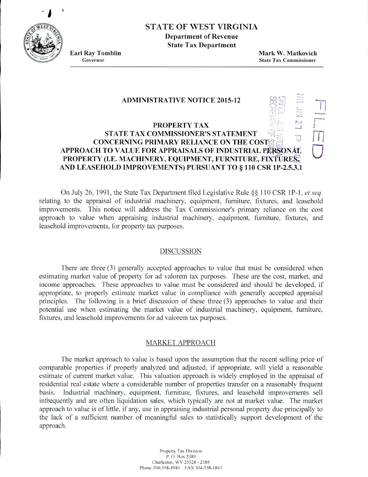**'a**



# STATE OF WEST VIRGINIA

**Department of Revenue State Tax Department**

**Earl Ray Tomblin Mark W. Matkovich** Governor State Tax **Commissioner**

0

hi

### **ADMINISTRATIVE NOTICE 2015-12**

#### $\overline{\mathcal{C}}$ **PROPERTY TAX STATE TAX COMMISSIONER'S STATEMENT**  $\overline{U}$ **CONCERNING PRIMARY RELIANCE ON THE COS1 APPROACH TO VALUE FOR APPRAISALS OF INDUSTRIAL PERSONAL PROPERTY (I.E. MACHINERY, EQUIPMENT, FURNITURE, FIXTURE AND LEASEHOLD IMPROVEMENTS) PURSUANT TO § 110 CSR 1P-2.5.3.l**

On July 26, 1991, the State Tax Department filed Legislative Rule  $\S$  110 CSR 1P-1, *et seq.* relating to the appraisal of industrial machinery, equipment, furniture, fixtures, and leasehold improvements. This notice will address the Tax Commissioner's primary reliance on the cost approach to value when appraising industrial machinery, equipment, furniture, fixtures, and leasehold improvements, for property tax purposes.

## DISCUSSION

There are three *(3)* generally accepted approaches to value that must be considered when estimating market value of property for ad valorem tax purposes. These are the cost, market. and income approaches. These approaches to value must be considered and should be developed, if appropriate, to properly estimate market value in compliance with generally accepted appraisal principles. The following is a brief discussion of these three (3) approaches to value and their potential use when estimating the market value of industrial machinery, equipment, furniture. fixtures, and leasehold improvements for ad valorem tax purposes.

# MARKET APPROACH

The market approach to value is based upon the assumption that the recent selling price of comparable properties if properly analyzed and adjusted, if appropriate, will yield a reasonable estimate of current market value. This valuation approach is widely employed in the appraisal of residential real estate where a considerable number of properties transfer on a reasonably frequent basis. Industrial machinery. equipment, furniture, fixtures, and leasehold improvements sell infrequently and are often liquidation sales, which typically are not at market value. The market approach to value is of little, if any. use in appraising industrial personal property due principally to the lack of a sufficient number of meaningful sales to statistically support development of the approach.

> Property Tax Division P.O. Box 2389 Charleston, WV 25328 - 2389 Phone 304-558-3940 FAX 304-558-1843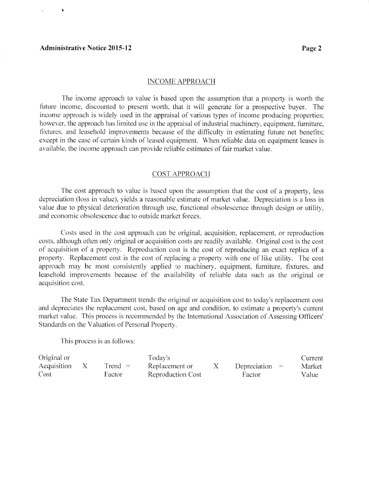#### **Administrative Notice 2015-12 Page 2**

 $\mathbf{r}$ 

#### INCOME APPROACH

The income approach to value is based upon the assumption that a property is worth the future income, discounted to present worth, that it will generate for a prospective buyer. The income approach is widely used in the appraisal of various types of income producing properties: however, the approach has limited use in the appraisal of industrial machinery, equipment. furniture, fixtures, and leasehold improvements because of the difficulty in estimating future net benefits; except in the case of certain kinds of leased equipment. When reliable data on equipment leases is available, the income approach can provide reliable estimates of fair market value.

### COST APPROACH

The cost approach to value is based upon the assumption that the cost of a property, less depreciation (loss in value), yields a reasonable estimate of market value. Depreciation is a loss in value due to physical deterioration through use. functional obsolescence through design or utility. and economic obsolescence due to outside market forces.

Costs used in the cost approach can be original, acquisition. replacement. or reproduction costs, although often only original or acquisition costs are readily available. Original cost is the cost of acquisition of a property. Reproduction cost is the cost of reproducing an exact replica of a property. Replacement cost is the cost of replacing a property with one of like utility. The cost approach may be most consistently applied to machinery, equipment, furniture, fixtures, and leasehold improvements because of the availability of reliable data such as the original or acquisition cost.

The Stale Tax Department trends the original or acquisition cost to today's replacement cost and depreciates the replacement cost. based on age and condition, to estimate a property's current market value. This process is recommended by the International Association of Assessing Officers' Standards on the Valuation of Personal Property.

This process is as follows:

| Original or |           | Today's                  |                  | Current |
|-------------|-----------|--------------------------|------------------|---------|
| Acquisition | $Trend =$ | Replacement or           | Depreciation $=$ | Market  |
| Cost        | Factor    | <b>Reproduction Cost</b> | Factor           | Value   |